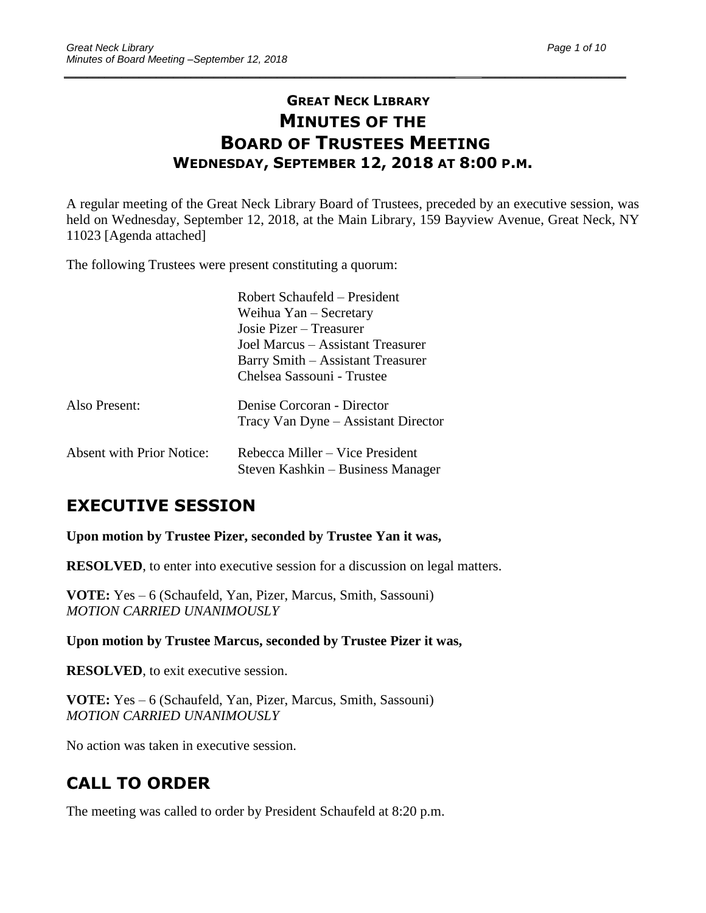# **GREAT NECK LIBRARY MINUTES OF THE BOARD OF TRUSTEES MEETING WEDNESDAY, SEPTEMBER 12, 2018 AT 8:00 P.M.**

\_\_\_\_\_\_\_\_\_\_\_\_\_\_\_\_\_\_\_\_\_\_\_\_\_\_\_\_\_\_\_\_\_\_\_\_\_\_\_\_\_\_\_\_\_\_\_\_\_\_\_\_\_\_\_\_\_\_\_\_\_\_\_\_\_\_\_\_ \_\_\_\_\_\_\_\_\_\_\_\_\_\_\_\_\_\_\_\_\_\_\_\_\_

A regular meeting of the Great Neck Library Board of Trustees, preceded by an executive session, was held on Wednesday, September 12, 2018, at the Main Library, 159 Bayview Avenue, Great Neck, NY 11023 [Agenda attached]

The following Trustees were present constituting a quorum:

|                                  | Robert Schaufeld – President                                         |  |  |
|----------------------------------|----------------------------------------------------------------------|--|--|
|                                  | Weihua Yan – Secretary                                               |  |  |
|                                  | Josie Pizer – Treasurer                                              |  |  |
|                                  | Joel Marcus – Assistant Treasurer                                    |  |  |
|                                  | Barry Smith – Assistant Treasurer                                    |  |  |
|                                  | Chelsea Sassouni - Trustee                                           |  |  |
| Also Present:                    | Denise Corcoran - Director                                           |  |  |
|                                  | Tracy Van Dyne – Assistant Director                                  |  |  |
| <b>Absent with Prior Notice:</b> |                                                                      |  |  |
|                                  | Rebecca Miller – Vice President<br>Steven Kashkin – Business Manager |  |  |

# **EXECUTIVE SESSION**

**Upon motion by Trustee Pizer, seconded by Trustee Yan it was,**

**RESOLVED**, to enter into executive session for a discussion on legal matters.

**VOTE:** Yes – 6 (Schaufeld, Yan, Pizer, Marcus, Smith, Sassouni) *MOTION CARRIED UNANIMOUSLY*

**Upon motion by Trustee Marcus, seconded by Trustee Pizer it was,**

**RESOLVED**, to exit executive session.

**VOTE:** Yes – 6 (Schaufeld, Yan, Pizer, Marcus, Smith, Sassouni) *MOTION CARRIED UNANIMOUSLY*

No action was taken in executive session.

# **CALL TO ORDER**

The meeting was called to order by President Schaufeld at 8:20 p.m.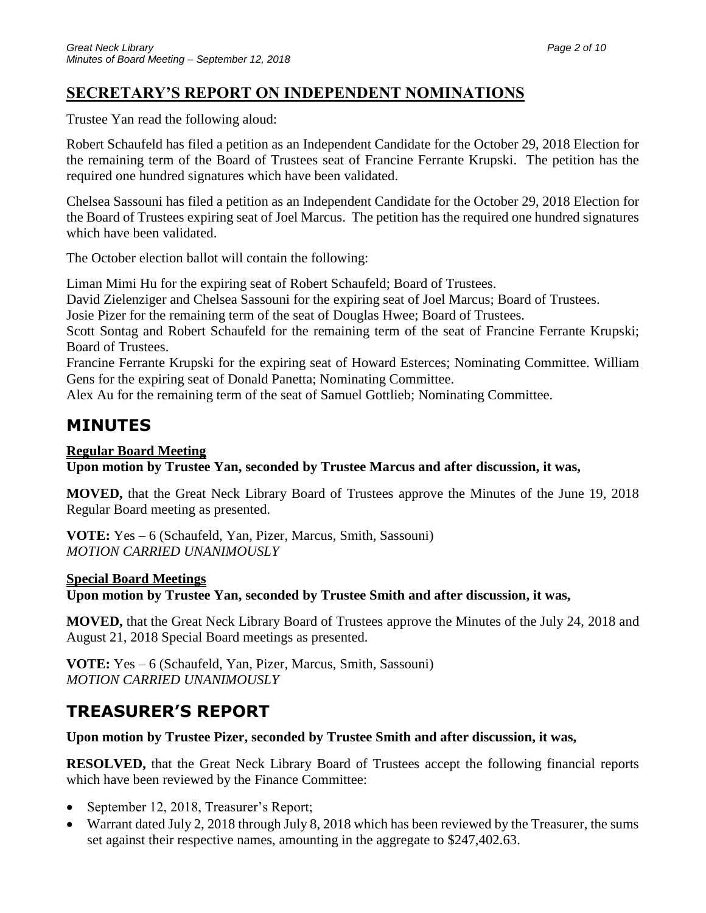# **SECRETARY'S REPORT ON INDEPENDENT NOMINATIONS**

Trustee Yan read the following aloud:

Robert Schaufeld has filed a petition as an Independent Candidate for the October 29, 2018 Election for the remaining term of the Board of Trustees seat of Francine Ferrante Krupski. The petition has the required one hundred signatures which have been validated.

Chelsea Sassouni has filed a petition as an Independent Candidate for the October 29, 2018 Election for the Board of Trustees expiring seat of Joel Marcus. The petition has the required one hundred signatures which have been validated.

The October election ballot will contain the following:

Liman Mimi Hu for the expiring seat of Robert Schaufeld; Board of Trustees.

David Zielenziger and Chelsea Sassouni for the expiring seat of Joel Marcus; Board of Trustees.

Josie Pizer for the remaining term of the seat of Douglas Hwee; Board of Trustees.

Scott Sontag and Robert Schaufeld for the remaining term of the seat of Francine Ferrante Krupski; Board of Trustees.

Francine Ferrante Krupski for the expiring seat of Howard Esterces; Nominating Committee. William Gens for the expiring seat of Donald Panetta; Nominating Committee.

Alex Au for the remaining term of the seat of Samuel Gottlieb; Nominating Committee.

# **MINUTES**

# **Regular Board Meeting**

**Upon motion by Trustee Yan, seconded by Trustee Marcus and after discussion, it was,**

**MOVED,** that the Great Neck Library Board of Trustees approve the Minutes of the June 19, 2018 Regular Board meeting as presented.

**VOTE:** Yes – 6 (Schaufeld, Yan, Pizer, Marcus, Smith, Sassouni) *MOTION CARRIED UNANIMOUSLY*

### **Special Board Meetings**

**Upon motion by Trustee Yan, seconded by Trustee Smith and after discussion, it was,**

**MOVED,** that the Great Neck Library Board of Trustees approve the Minutes of the July 24, 2018 and August 21, 2018 Special Board meetings as presented.

**VOTE:** Yes – 6 (Schaufeld, Yan, Pizer, Marcus, Smith, Sassouni) *MOTION CARRIED UNANIMOUSLY*

# **TREASURER'S REPORT**

### **Upon motion by Trustee Pizer, seconded by Trustee Smith and after discussion, it was,**

**RESOLVED,** that the Great Neck Library Board of Trustees accept the following financial reports which have been reviewed by the Finance Committee:

- September 12, 2018, Treasurer's Report;
- Warrant dated July 2, 2018 through July 8, 2018 which has been reviewed by the Treasurer, the sums set against their respective names, amounting in the aggregate to \$247,402.63.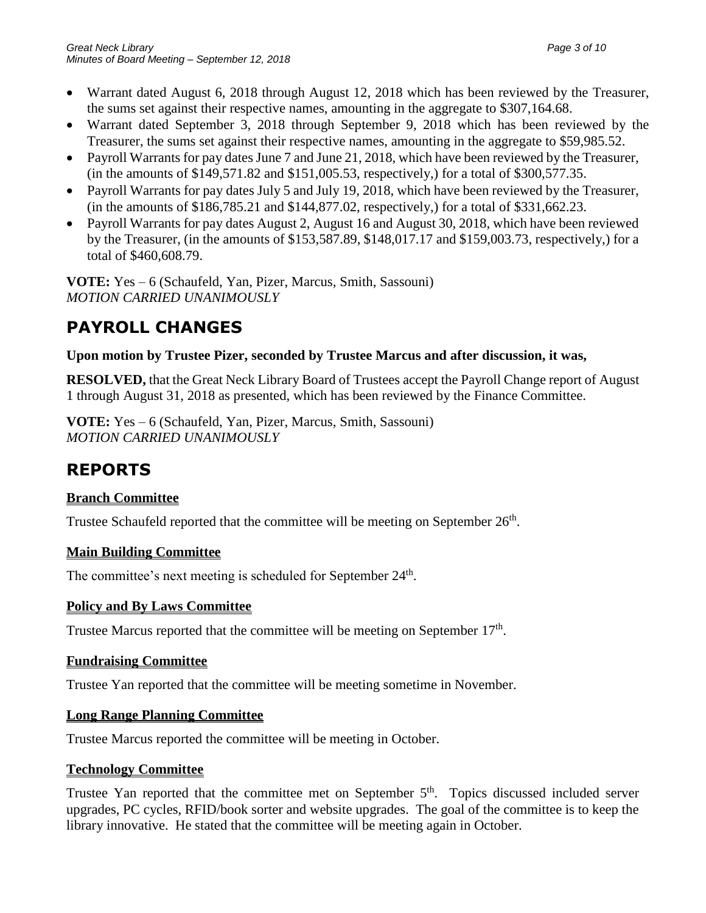- Warrant dated August 6, 2018 through August 12, 2018 which has been reviewed by the Treasurer, the sums set against their respective names, amounting in the aggregate to \$307,164.68.
- Warrant dated September 3, 2018 through September 9, 2018 which has been reviewed by the Treasurer, the sums set against their respective names, amounting in the aggregate to \$59,985.52.
- Payroll Warrants for pay dates June 7 and June 21, 2018, which have been reviewed by the Treasurer, (in the amounts of \$149,571.82 and \$151,005.53, respectively,) for a total of \$300,577.35.
- Payroll Warrants for pay dates July 5 and July 19, 2018, which have been reviewed by the Treasurer, (in the amounts of \$186,785.21 and \$144,877.02, respectively,) for a total of \$331,662.23.
- Payroll Warrants for pay dates August 2, August 16 and August 30, 2018, which have been reviewed by the Treasurer, (in the amounts of \$153,587.89, \$148,017.17 and \$159,003.73, respectively,) for a total of \$460,608.79.

**VOTE:** Yes – 6 (Schaufeld, Yan, Pizer, Marcus, Smith, Sassouni) *MOTION CARRIED UNANIMOUSLY*

# **PAYROLL CHANGES**

### **Upon motion by Trustee Pizer, seconded by Trustee Marcus and after discussion, it was,**

**RESOLVED,** that the Great Neck Library Board of Trustees accept the Payroll Change report of August 1 through August 31, 2018 as presented, which has been reviewed by the Finance Committee.

**VOTE:** Yes – 6 (Schaufeld, Yan, Pizer, Marcus, Smith, Sassouni) *MOTION CARRIED UNANIMOUSLY*

# **REPORTS**

# **Branch Committee**

Trustee Schaufeld reported that the committee will be meeting on September  $26<sup>th</sup>$ .

### **Main Building Committee**

The committee's next meeting is scheduled for September 24<sup>th</sup>.

### **Policy and By Laws Committee**

Trustee Marcus reported that the committee will be meeting on September  $17<sup>th</sup>$ .

### **Fundraising Committee**

Trustee Yan reported that the committee will be meeting sometime in November.

### **Long Range Planning Committee**

Trustee Marcus reported the committee will be meeting in October.

# **Technology Committee**

Trustee Yan reported that the committee met on September 5<sup>th</sup>. Topics discussed included server upgrades, PC cycles, RFID/book sorter and website upgrades. The goal of the committee is to keep the library innovative. He stated that the committee will be meeting again in October.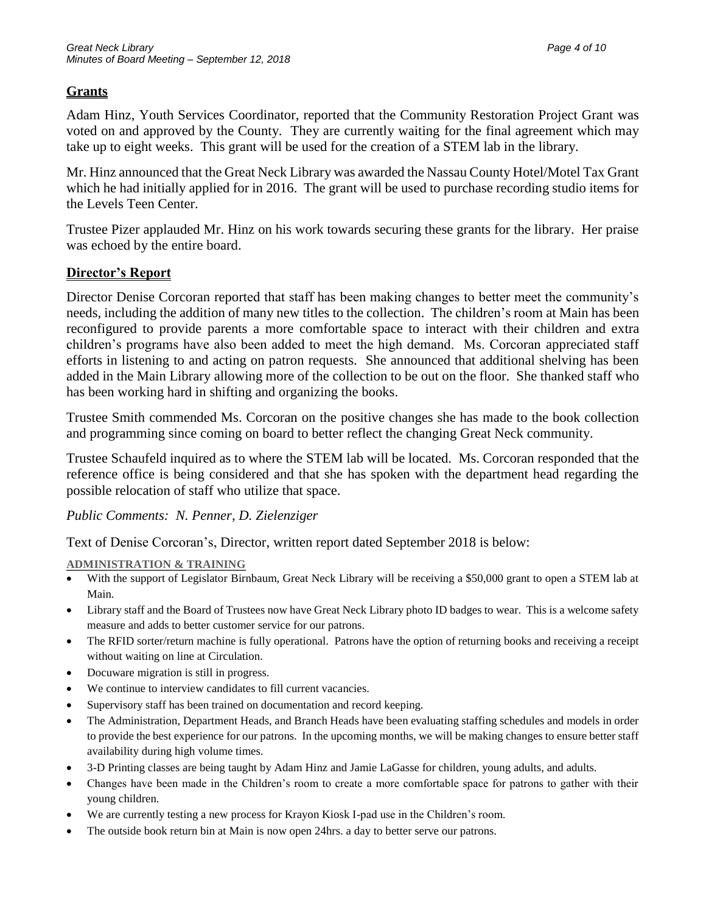### **Grants**

Adam Hinz, Youth Services Coordinator, reported that the Community Restoration Project Grant was voted on and approved by the County. They are currently waiting for the final agreement which may take up to eight weeks. This grant will be used for the creation of a STEM lab in the library.

Mr. Hinz announced that the Great Neck Library was awarded the Nassau County Hotel/Motel Tax Grant which he had initially applied for in 2016. The grant will be used to purchase recording studio items for the Levels Teen Center.

Trustee Pizer applauded Mr. Hinz on his work towards securing these grants for the library. Her praise was echoed by the entire board.

### **Director's Report**

Director Denise Corcoran reported that staff has been making changes to better meet the community's needs, including the addition of many new titles to the collection. The children's room at Main has been reconfigured to provide parents a more comfortable space to interact with their children and extra children's programs have also been added to meet the high demand. Ms. Corcoran appreciated staff efforts in listening to and acting on patron requests. She announced that additional shelving has been added in the Main Library allowing more of the collection to be out on the floor. She thanked staff who has been working hard in shifting and organizing the books.

Trustee Smith commended Ms. Corcoran on the positive changes she has made to the book collection and programming since coming on board to better reflect the changing Great Neck community.

Trustee Schaufeld inquired as to where the STEM lab will be located. Ms. Corcoran responded that the reference office is being considered and that she has spoken with the department head regarding the possible relocation of staff who utilize that space.

*Public Comments: N. Penner, D. Zielenziger*

Text of Denise Corcoran's, Director, written report dated September 2018 is below:

#### **ADMINISTRATION & TRAINING**

- With the support of Legislator Birnbaum, Great Neck Library will be receiving a \$50,000 grant to open a STEM lab at Main.
- Library staff and the Board of Trustees now have Great Neck Library photo ID badges to wear. This is a welcome safety measure and adds to better customer service for our patrons.
- The RFID sorter/return machine is fully operational. Patrons have the option of returning books and receiving a receipt without waiting on line at Circulation.
- Docuware migration is still in progress.
- We continue to interview candidates to fill current vacancies.
- Supervisory staff has been trained on documentation and record keeping.
- The Administration, Department Heads, and Branch Heads have been evaluating staffing schedules and models in order to provide the best experience for our patrons. In the upcoming months, we will be making changes to ensure better staff availability during high volume times.
- 3-D Printing classes are being taught by Adam Hinz and Jamie LaGasse for children, young adults, and adults.
- Changes have been made in the Children's room to create a more comfortable space for patrons to gather with their young children.
- We are currently testing a new process for Krayon Kiosk I-pad use in the Children's room.
- The outside book return bin at Main is now open 24hrs. a day to better serve our patrons.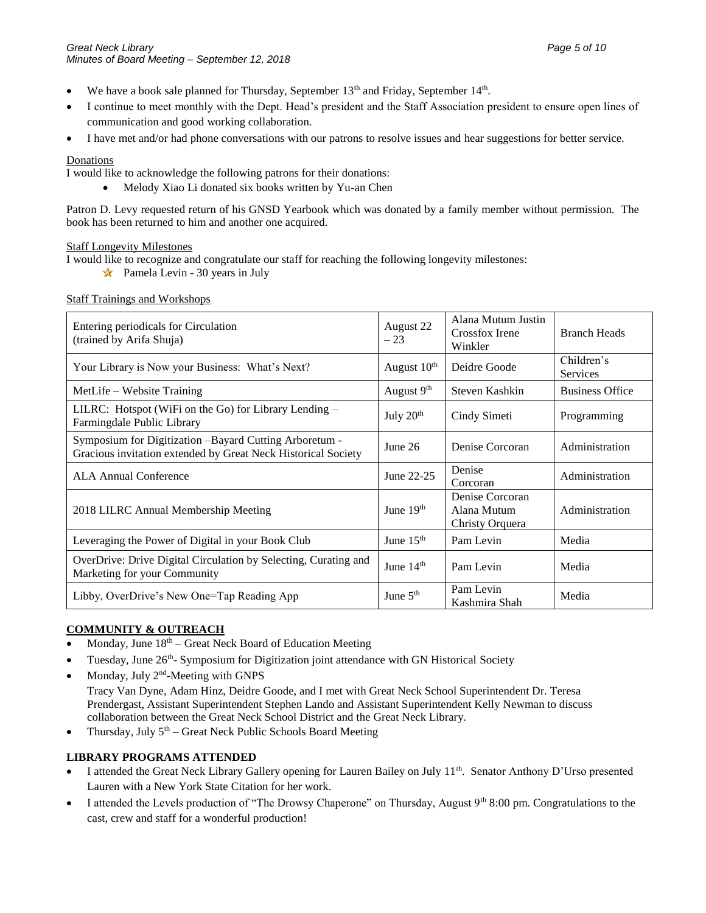- We have a book sale planned for Thursday, September  $13<sup>th</sup>$  and Friday, September  $14<sup>th</sup>$ .
- I continue to meet monthly with the Dept. Head's president and the Staff Association president to ensure open lines of communication and good working collaboration.
- I have met and/or had phone conversations with our patrons to resolve issues and hear suggestions for better service.

#### **Donations**

I would like to acknowledge the following patrons for their donations:

• Melody Xiao Li donated six books written by Yu-an Chen

Patron D. Levy requested return of his GNSD Yearbook which was donated by a family member without permission. The book has been returned to him and another one acquired.

#### Staff Longevity Milestones

I would like to recognize and congratulate our staff for reaching the following longevity milestones:

Pamela Levin - 30 years in July

Staff Trainings and Workshops

| Entering periodicals for Circulation<br>(trained by Arifa Shuja)                                                        | August 22<br>$-23$      | Alana Mutum Justin<br>Crossfox Irene<br>Winkler   | <b>Branch Heads</b>           |
|-------------------------------------------------------------------------------------------------------------------------|-------------------------|---------------------------------------------------|-------------------------------|
| Your Library is Now your Business: What's Next?                                                                         | August 10 <sup>th</sup> | Deidre Goode                                      | Children's<br><b>Services</b> |
| MetLife – Website Training                                                                                              | August $9th$            | Steven Kashkin                                    | <b>Business Office</b>        |
| LILRC: Hotspot (WiFi on the Go) for Library Lending -<br>Farmingdale Public Library                                     | July 20 <sup>th</sup>   | Cindy Simeti                                      | Programming                   |
| Symposium for Digitization -Bayard Cutting Arboretum -<br>Gracious invitation extended by Great Neck Historical Society | June $26$               | Denise Corcoran                                   | Administration                |
| <b>ALA Annual Conference</b>                                                                                            | June 22-25              | Denise<br>Corcoran                                | Administration                |
| 2018 LILRC Annual Membership Meeting                                                                                    | June $19th$             | Denise Corcoran<br>Alana Mutum<br>Christy Orquera | Administration                |
| Leveraging the Power of Digital in your Book Club                                                                       | June $15th$             | Pam Levin                                         | Media                         |
| OverDrive: Drive Digital Circulation by Selecting, Curating and<br>Marketing for your Community                         | June $14th$             | Pam Levin                                         | Media                         |
| Libby, OverDrive's New One=Tap Reading App                                                                              | June $5th$              | Pam Levin<br>Kashmira Shah                        | Media                         |

#### **COMMUNITY & OUTREACH**

- Monday, June  $18<sup>th</sup>$  Great Neck Board of Education Meeting
- Tuesday, June 26<sup>th</sup>- Symposium for Digitization joint attendance with GN Historical Society
- Monday, July 2<sup>nd</sup>-Meeting with GNPS

Tracy Van Dyne, Adam Hinz, Deidre Goode, and I met with Great Neck School Superintendent Dr. Teresa Prendergast, Assistant Superintendent Stephen Lando and Assistant Superintendent Kelly Newman to discuss collaboration between the Great Neck School District and the Great Neck Library.

• Thursday, July  $5<sup>th</sup>$  – Great Neck Public Schools Board Meeting

#### **LIBRARY PROGRAMS ATTENDED**

- I attended the Great Neck Library Gallery opening for Lauren Bailey on July 11<sup>th</sup>. Senator Anthony D'Urso presented Lauren with a New York State Citation for her work.
- I attended the Levels production of "The Drowsy Chaperone" on Thursday, August 9th 8:00 pm. Congratulations to the cast, crew and staff for a wonderful production!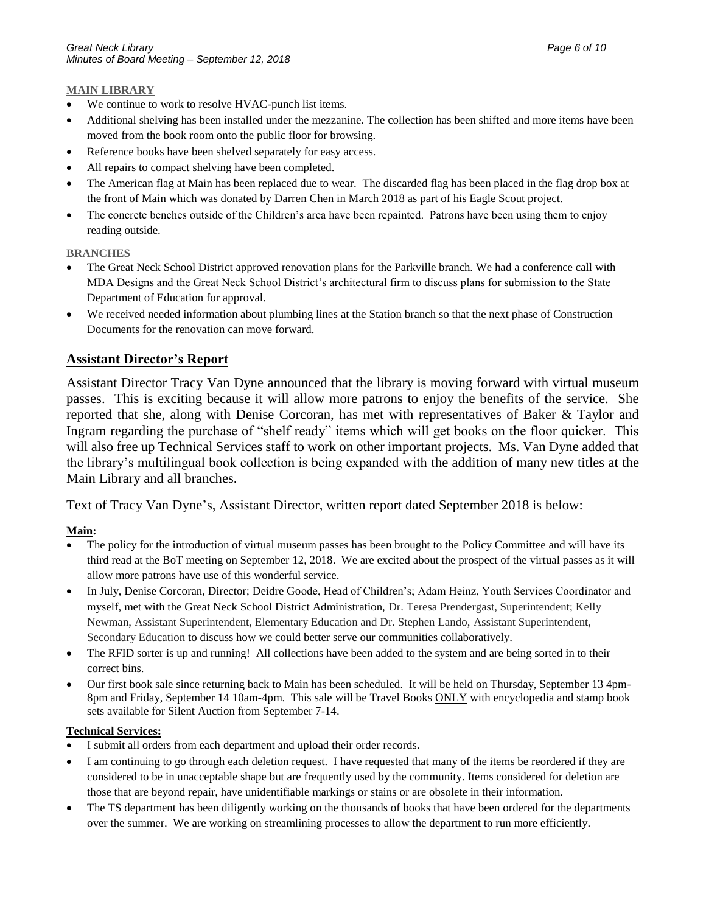#### **MAIN LIBRARY**

- We continue to work to resolve HVAC-punch list items.
- Additional shelving has been installed under the mezzanine. The collection has been shifted and more items have been moved from the book room onto the public floor for browsing.
- Reference books have been shelved separately for easy access.
- All repairs to compact shelving have been completed.
- The American flag at Main has been replaced due to wear. The discarded flag has been placed in the flag drop box at the front of Main which was donated by Darren Chen in March 2018 as part of his Eagle Scout project.
- The concrete benches outside of the Children's area have been repainted. Patrons have been using them to enjoy reading outside.

#### **BRANCHES**

- The Great Neck School District approved renovation plans for the Parkville branch. We had a conference call with MDA Designs and the Great Neck School District's architectural firm to discuss plans for submission to the State Department of Education for approval.
- We received needed information about plumbing lines at the Station branch so that the next phase of Construction Documents for the renovation can move forward.

#### **Assistant Director's Report**

Assistant Director Tracy Van Dyne announced that the library is moving forward with virtual museum passes. This is exciting because it will allow more patrons to enjoy the benefits of the service. She reported that she, along with Denise Corcoran, has met with representatives of Baker & Taylor and Ingram regarding the purchase of "shelf ready" items which will get books on the floor quicker. This will also free up Technical Services staff to work on other important projects. Ms. Van Dyne added that the library's multilingual book collection is being expanded with the addition of many new titles at the Main Library and all branches.

Text of Tracy Van Dyne's, Assistant Director, written report dated September 2018 is below:

#### **Main:**

- The policy for the introduction of virtual museum passes has been brought to the Policy Committee and will have its third read at the BoT meeting on September 12, 2018. We are excited about the prospect of the virtual passes as it will allow more patrons have use of this wonderful service.
- In July, Denise Corcoran, Director; Deidre Goode, Head of Children's; Adam Heinz, Youth Services Coordinator and myself, met with the Great Neck School District Administration, Dr. Teresa Prendergast, Superintendent; Kelly Newman, Assistant Superintendent, Elementary Education and Dr. Stephen Lando, Assistant Superintendent, Secondary Education to discuss how we could better serve our communities collaboratively.
- The RFID sorter is up and running! All collections have been added to the system and are being sorted in to their correct bins.
- Our first book sale since returning back to Main has been scheduled. It will be held on Thursday, September 13 4pm-8pm and Friday, September 14 10am-4pm. This sale will be Travel Books ONLY with encyclopedia and stamp book sets available for Silent Auction from September 7-14.

#### **Technical Services:**

- I submit all orders from each department and upload their order records.
- I am continuing to go through each deletion request. I have requested that many of the items be reordered if they are considered to be in unacceptable shape but are frequently used by the community. Items considered for deletion are those that are beyond repair, have unidentifiable markings or stains or are obsolete in their information.
- The TS department has been diligently working on the thousands of books that have been ordered for the departments over the summer. We are working on streamlining processes to allow the department to run more efficiently.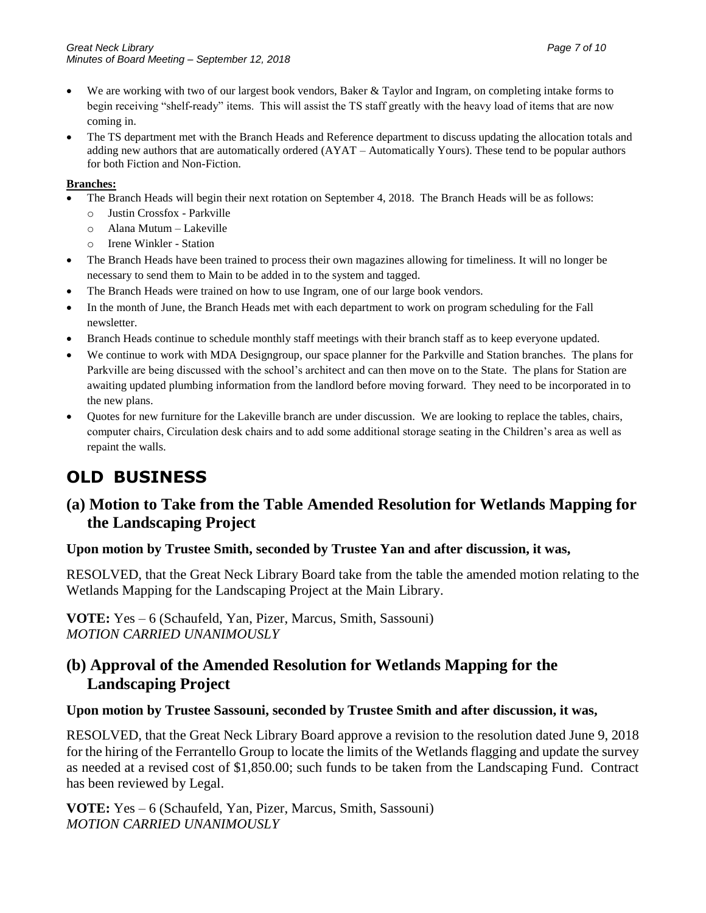- We are working with two of our largest book vendors, Baker & Taylor and Ingram, on completing intake forms to begin receiving "shelf-ready" items. This will assist the TS staff greatly with the heavy load of items that are now coming in.
- The TS department met with the Branch Heads and Reference department to discuss updating the allocation totals and adding new authors that are automatically ordered (AYAT – Automatically Yours). These tend to be popular authors for both Fiction and Non-Fiction.

#### **Branches:**

- The Branch Heads will begin their next rotation on September 4, 2018. The Branch Heads will be as follows:
	- o Justin Crossfox Parkville
	- o Alana Mutum Lakeville
	- o Irene Winkler Station
- The Branch Heads have been trained to process their own magazines allowing for timeliness. It will no longer be necessary to send them to Main to be added in to the system and tagged.
- The Branch Heads were trained on how to use Ingram, one of our large book vendors.
- In the month of June, the Branch Heads met with each department to work on program scheduling for the Fall newsletter.
- Branch Heads continue to schedule monthly staff meetings with their branch staff as to keep everyone updated.
- We continue to work with MDA Designgroup, our space planner for the Parkville and Station branches. The plans for Parkville are being discussed with the school's architect and can then move on to the State. The plans for Station are awaiting updated plumbing information from the landlord before moving forward. They need to be incorporated in to the new plans.
- Quotes for new furniture for the Lakeville branch are under discussion. We are looking to replace the tables, chairs, computer chairs, Circulation desk chairs and to add some additional storage seating in the Children's area as well as repaint the walls.

# **OLD BUSINESS**

# **(a) Motion to Take from the Table Amended Resolution for Wetlands Mapping for the Landscaping Project**

#### **Upon motion by Trustee Smith, seconded by Trustee Yan and after discussion, it was,**

RESOLVED, that the Great Neck Library Board take from the table the amended motion relating to the Wetlands Mapping for the Landscaping Project at the Main Library.

**VOTE:** Yes – 6 (Schaufeld, Yan, Pizer, Marcus, Smith, Sassouni) *MOTION CARRIED UNANIMOUSLY*

# **(b) Approval of the Amended Resolution for Wetlands Mapping for the Landscaping Project**

#### **Upon motion by Trustee Sassouni, seconded by Trustee Smith and after discussion, it was,**

RESOLVED, that the Great Neck Library Board approve a revision to the resolution dated June 9, 2018 for the hiring of the Ferrantello Group to locate the limits of the Wetlands flagging and update the survey as needed at a revised cost of \$1,850.00; such funds to be taken from the Landscaping Fund. Contract has been reviewed by Legal.

**VOTE:** Yes – 6 (Schaufeld, Yan, Pizer, Marcus, Smith, Sassouni) *MOTION CARRIED UNANIMOUSLY*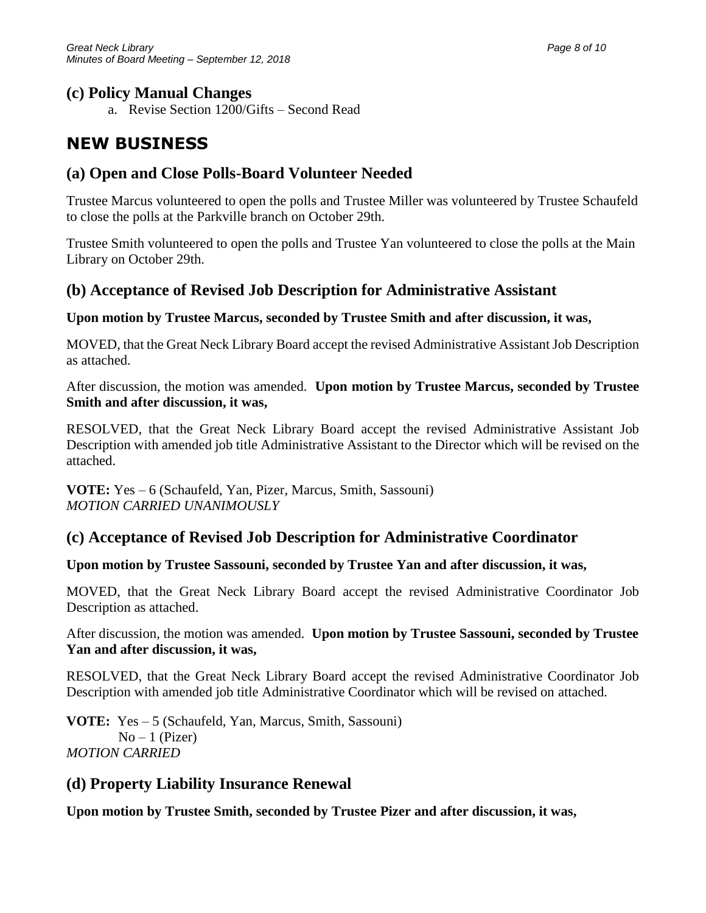# **(c) Policy Manual Changes**

a. Revise Section 1200/Gifts – Second Read

# **NEW BUSINESS**

# **(a) Open and Close Polls-Board Volunteer Needed**

Trustee Marcus volunteered to open the polls and Trustee Miller was volunteered by Trustee Schaufeld to close the polls at the Parkville branch on October 29th.

Trustee Smith volunteered to open the polls and Trustee Yan volunteered to close the polls at the Main Library on October 29th.

# **(b) Acceptance of Revised Job Description for Administrative Assistant**

### **Upon motion by Trustee Marcus, seconded by Trustee Smith and after discussion, it was,**

MOVED, that the Great Neck Library Board accept the revised Administrative Assistant Job Description as attached.

After discussion, the motion was amended. **Upon motion by Trustee Marcus, seconded by Trustee Smith and after discussion, it was,**

RESOLVED, that the Great Neck Library Board accept the revised Administrative Assistant Job Description with amended job title Administrative Assistant to the Director which will be revised on the attached.

**VOTE:** Yes – 6 (Schaufeld, Yan, Pizer, Marcus, Smith, Sassouni) *MOTION CARRIED UNANIMOUSLY*

# **(c) Acceptance of Revised Job Description for Administrative Coordinator**

### **Upon motion by Trustee Sassouni, seconded by Trustee Yan and after discussion, it was,**

MOVED, that the Great Neck Library Board accept the revised Administrative Coordinator Job Description as attached.

After discussion, the motion was amended. **Upon motion by Trustee Sassouni, seconded by Trustee Yan and after discussion, it was,**

RESOLVED, that the Great Neck Library Board accept the revised Administrative Coordinator Job Description with amended job title Administrative Coordinator which will be revised on attached.

**VOTE:** Yes – 5 (Schaufeld, Yan, Marcus, Smith, Sassouni)  $No-1$  (Pizer) *MOTION CARRIED* 

# **(d) Property Liability Insurance Renewal**

**Upon motion by Trustee Smith, seconded by Trustee Pizer and after discussion, it was,**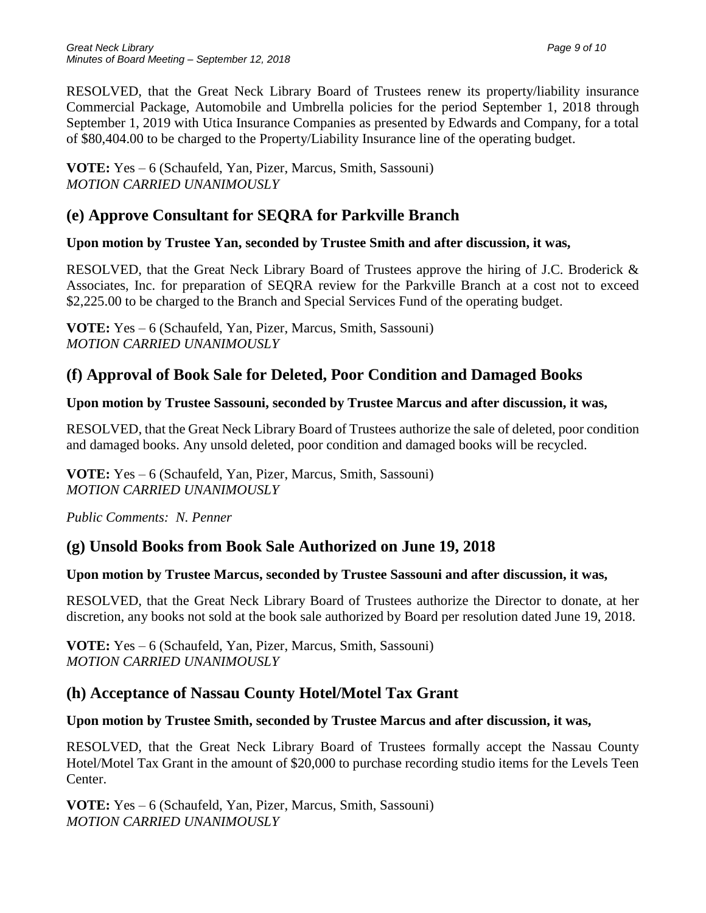RESOLVED, that the Great Neck Library Board of Trustees renew its property/liability insurance Commercial Package, Automobile and Umbrella policies for the period September 1, 2018 through September 1, 2019 with Utica Insurance Companies as presented by Edwards and Company, for a total of \$80,404.00 to be charged to the Property/Liability Insurance line of the operating budget.

**VOTE:** Yes – 6 (Schaufeld, Yan, Pizer, Marcus, Smith, Sassouni) *MOTION CARRIED UNANIMOUSLY*

# **(e) Approve Consultant for SEQRA for Parkville Branch**

### **Upon motion by Trustee Yan, seconded by Trustee Smith and after discussion, it was,**

RESOLVED, that the Great Neck Library Board of Trustees approve the hiring of J.C. Broderick & Associates, Inc. for preparation of SEQRA review for the Parkville Branch at a cost not to exceed \$2,225.00 to be charged to the Branch and Special Services Fund of the operating budget.

**VOTE:** Yes – 6 (Schaufeld, Yan, Pizer, Marcus, Smith, Sassouni) *MOTION CARRIED UNANIMOUSLY*

# **(f) Approval of Book Sale for Deleted, Poor Condition and Damaged Books**

### **Upon motion by Trustee Sassouni, seconded by Trustee Marcus and after discussion, it was,**

RESOLVED, that the Great Neck Library Board of Trustees authorize the sale of deleted, poor condition and damaged books. Any unsold deleted, poor condition and damaged books will be recycled.

**VOTE:** Yes – 6 (Schaufeld, Yan, Pizer, Marcus, Smith, Sassouni) *MOTION CARRIED UNANIMOUSLY*

*Public Comments: N. Penner*

# **(g) Unsold Books from Book Sale Authorized on June 19, 2018**

# **Upon motion by Trustee Marcus, seconded by Trustee Sassouni and after discussion, it was,**

RESOLVED, that the Great Neck Library Board of Trustees authorize the Director to donate, at her discretion, any books not sold at the book sale authorized by Board per resolution dated June 19, 2018.

**VOTE:** Yes – 6 (Schaufeld, Yan, Pizer, Marcus, Smith, Sassouni) *MOTION CARRIED UNANIMOUSLY*

# **(h) Acceptance of Nassau County Hotel/Motel Tax Grant**

# **Upon motion by Trustee Smith, seconded by Trustee Marcus and after discussion, it was,**

RESOLVED, that the Great Neck Library Board of Trustees formally accept the Nassau County Hotel/Motel Tax Grant in the amount of \$20,000 to purchase recording studio items for the Levels Teen Center.

**VOTE:** Yes – 6 (Schaufeld, Yan, Pizer, Marcus, Smith, Sassouni) *MOTION CARRIED UNANIMOUSLY*